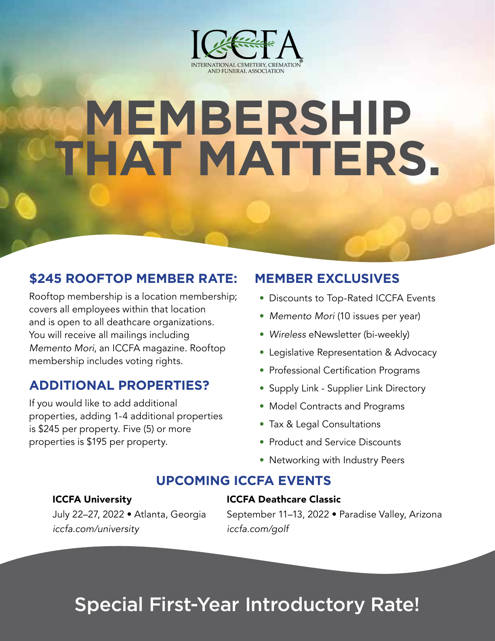

# **MEMBERSHIP THAT MATTERS.**

## **\$245 ROOFTOP MEMBER RATE:**

Rooftop membership is a location membership; covers all employees within that location and is open to all deathcare organizations. You will receive all mailings including *Memento Mori*, an ICCFA magazine. Rooftop membership includes voting rights.

### **ADDITIONAL PROPERTIES?**

If you would like to add additional properties, adding 1-4 additional properties is \$245 per property. Five (5) or more properties is \$195 per property.

### **MEMBER EXCLUSIVES**

- Discounts to Top-Rated ICCFA Events
- *Memento Mori* (10 issues per year)
- Wireless eNewsletter (bi-weekly)
- Legislative Representation & Advocacy
- Professional Certification Programs
- Supply Link Supplier Link Directory
- Model Contracts and Programs
- Tax & Legal Consultations
- Product and Service Discounts
- Networking with Industry Peers

#### **UPCOMING ICCFA EVENTS**

#### ICCFA University

#### ICCFA Deathcare Classic

July 22–27, 2022 • Atlanta, Georgia *iccfa.com/university*

September 11–13, 2022 • Paradise Valley, Arizona *iccfa.com/golf*

# Special First-Year Introductory Rate!